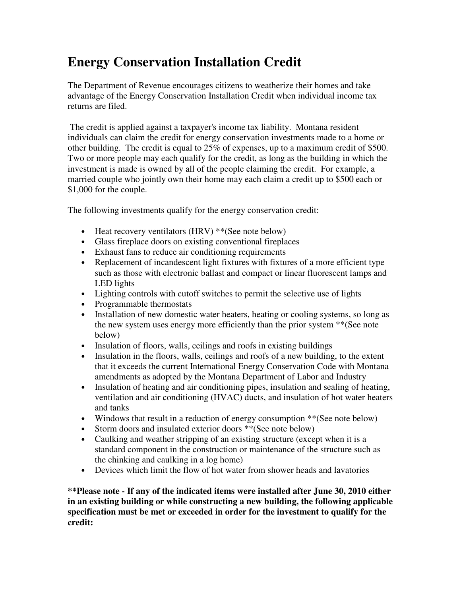## **Energy Conservation Installation Credit**

The Department of Revenue encourages citizens to weatherize their homes and take advantage of the Energy Conservation Installation Credit when individual income tax returns are filed.

 The credit is applied against a taxpayer's income tax liability. Montana resident individuals can claim the credit for energy conservation investments made to a home or other building. The credit is equal to 25% of expenses, up to a maximum credit of \$500. Two or more people may each qualify for the credit, as long as the building in which the investment is made is owned by all of the people claiming the credit. For example, a married couple who jointly own their home may each claim a credit up to \$500 each or \$1,000 for the couple.

The following investments qualify for the energy conservation credit:

- Heat recovery ventilators (HRV) \*\*(See note below)
- Glass fireplace doors on existing conventional fireplaces
- Exhaust fans to reduce air conditioning requirements
- Replacement of incandescent light fixtures with fixtures of a more efficient type such as those with electronic ballast and compact or linear fluorescent lamps and LED lights
- Lighting controls with cutoff switches to permit the selective use of lights
- Programmable thermostats
- Installation of new domestic water heaters, heating or cooling systems, so long as the new system uses energy more efficiently than the prior system \*\*(See note below)
- Insulation of floors, walls, ceilings and roofs in existing buildings
- Insulation in the floors, walls, ceilings and roofs of a new building, to the extent that it exceeds the current International Energy Conservation Code with Montana amendments as adopted by the Montana Department of Labor and Industry
- Insulation of heating and air conditioning pipes, insulation and sealing of heating, ventilation and air conditioning (HVAC) ducts, and insulation of hot water heaters and tanks
- Windows that result in a reduction of energy consumption \*\*(See note below)
- Storm doors and insulated exterior doors \*\*(See note below)
- Caulking and weather stripping of an existing structure (except when it is a standard component in the construction or maintenance of the structure such as the chinking and caulking in a log home)
- Devices which limit the flow of hot water from shower heads and lavatories

**\*\*Please note - If any of the indicated items were installed after June 30, 2010 either in an existing building or while constructing a new building, the following applicable specification must be met or exceeded in order for the investment to qualify for the credit:**